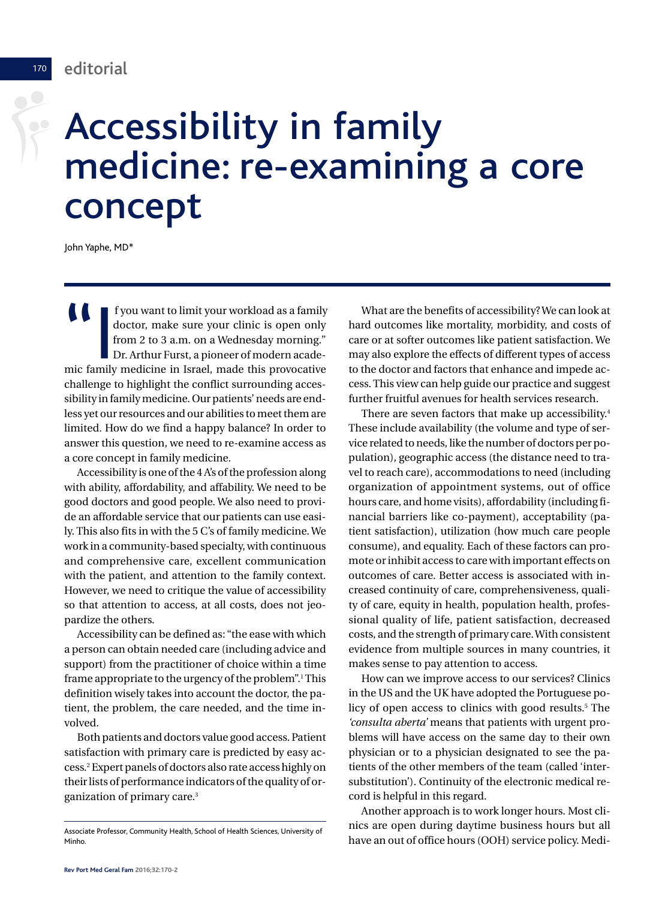<sup>170</sup> editorial

 $\sum_{i=1}^{n}$ 

# Accessibility in family medicine: re-examining a core concept

John Yaphe, MD\*

 $\begin{tabular}{|l|} \hline & f you want to limit your workload as a family doctor, make sure your clinic is open only from 2 to 3 a.m. on a Wednesday morning. Dr. Arthur Furst, a pioneer of modern academic family medicine in Israel, made this provocative\n\end{tabular}$ f you want to limit your workload as a family doctor, make sure your clinic is open only from 2 to 3 a.m. on a Wednesday morning." Dr. Arthur Furst, a pioneer of modern acadechallenge to highlight the conflict surrounding accessibility in family medicine. Our patients' needs are endless yet our resources and our abilities to meet them are limited. How do we find a happy balance? In order to answer this question, we need to re-examine access as a core concept in family medicine.

Accessibility is one of the 4 A's of the profession along with ability, affordability, and affability. We need to be good doctors and good people. We also need to provide an affordable service that our patients can use easily. This also fits in with the 5 C's of family medicine.We work in a community-based specialty, with continuous and comprehensive care, excellent communication with the patient, and attention to the family context. However, we need to critique the value of accessibility so that attention to access, at all costs, does not jeopardize the others.

Accessibility can be defined as: "the ease with which a person can obtain needed care (including advice and support) from the practitioner of choice within a time frame appropriate to the urgency of the problem".<sup>1</sup> This definition wisely takes into account the doctor, the patient, the problem, the care needed, and the time involved.

Both patients and doctors value good access. Patient satisfaction with primary care is predicted by easy access. <sup>2</sup> Expert panels of doctors also rate access highly on their lists of performance indicators of the quality of organization of primary care. 3

What are the benefits of accessibility?We can look at hard outcomes like mortality, morbidity, and costs of care or at softer outcomes like patient satisfaction. We may also explore the effects of different types of access to the doctor and factors that enhance and impede access.This view can help guide our practice and suggest further fruitful avenues for health services research.

There are seven factors that make up accessibility. 4 These include availability (the volume and type of service related toneeds, like thenumber of doctors per population), geographic access (the distance need to travel to reach care), accommodations to need (including organization of appointment systems, out of office hours care, and home visits), affordability (including financial barriers like co-payment), acceptability (patient satisfaction), utilization (how much care people consume), and equality. Each of these factors can promote orinhibit access to care with important effects on outcomes of care. Better access is associated with increased continuity of care, comprehensiveness, quality of care, equity in health, population health, professional quality of life, patient satisfaction, decreased costs, and the strength of primary care.With consistent evidence from multiple sources in many countries, it makes sense to pay attention to access.

How can we improve access to our services? Clinics in the US and the UK have adopted the Portuguese policy of open access to clinics with good results. <sup>5</sup> The *'consulta aberta'* means that patients with urgent problems will have access on the same day to their own physician or to a physician designated to see the patients of the other members of the team (called 'intersubstitution'). Continuity of the electronic medical record is helpful in this regard.

Another approach is to work longer hours. Most clinics are open during daytime business hours but all Associate Professor, Community Health, School of Health Sciences, University of have an out of office hours (OOH) service policy. Medi-<br>Minho.

Minho.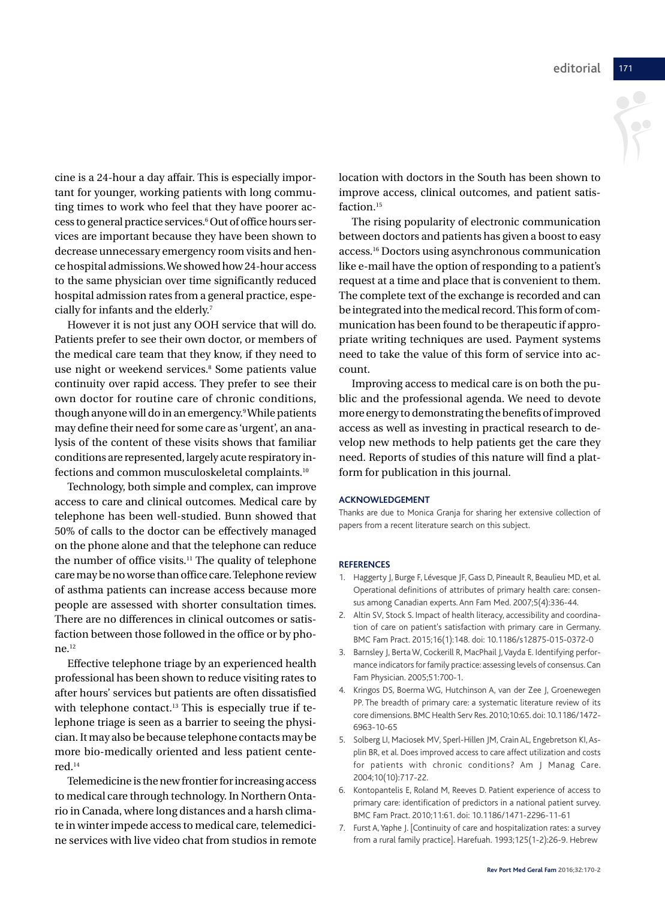cine is a 24-hour a day affair. This is especially important for younger, working patients with long commuting times to work who feel that they have poorer access to general practice services.6 Out of office hours services are important because they have been shown to decrease unnecessary emergency room visits and hence hospital admissions.We showed how 24-hour access to the same physician over time significantly reduced hospital admission rates from a general practice, especially for infants and the elderly. 7

However it is not just any OOH service that will do. Patients prefer to see their own doctor, or members of the medical care team that they know, if they need to use night or weekend services. <sup>8</sup> Some patients value continuity over rapid access. They prefer to see their own doctor for routine care of chronic conditions, though anyone will do in an emergency. 9While patients may define their need for some care as 'urgent', an analysis of the content of these visits shows that familiar conditions are represented, largely acute respiratory infections and common musculoskeletal complaints. 10

Technology, both simple and complex, can improve access to care and clinical outcomes. Medical care by telephone has been well-studied. Bunn showed that 50% of calls to the doctor can be effectively managed on the phone alone and that the telephone can reduce the number of office visits. <sup>11</sup> The quality of telephone caremaybenoworse thanoffice care.Telephone review of asthma patients can increase access because more people are assessed with shorter consultation times. There are no differences in clinical outcomes or satisfaction between those followed in the office or by phone. 12

Effective telephone triage by an experienced health professional has been shown to reduce visiting rates to after hours' services but patients are often dissatisfied with telephone contact. <sup>13</sup> This is especially true if telephone triage is seen as a barrier to seeing the physician.It may also be because telephone contacts may be more bio-medically oriented and less patient centered. 14

Telemedicine is the new frontier for increasing access to medical care through technology. In Northern Ontario in Canada, where long distances and a harsh climate in winterimpede access to medical care, telemedicine services with live video chat from studios in remote location with doctors in the South has been shown to improve access, clinical outcomes, and patient satisfaction. 15

The rising popularity of electronic communication between doctors and patients has given a boost to easy access. <sup>16</sup> Doctors using asynchronous communication like e-mail have the option of responding to a patient's request at a time and place that is convenient to them. The complete text of the exchange is recorded and can be integrated into the medical record. This form of communication has been found to be therapeutic if appropriate writing techniques are used. Payment systems need to take the value of this form of service into account.

Improving access to medical care is on both the public and the professional agenda. We need to devote more energy to demonstrating the benefits ofimproved access as well as investing in practical research to develop new methods to help patients get the care they need. Reports of studies of this nature will find a platform for publication in this journal.

#### **ACKNOWLEDGEMENT**

Thanks are due to Monica Granja for sharing her extensive collection of papers from a recent literature search on this subject.

#### **REFERENCES**

- 1. Haggerty J, Burge F, Lévesque JF, Gass D, Pineault R, Beaulieu MD, et al. Operational definitions of attributes of primary health care: consensus among Canadian experts.Ann Fam Med. 2007;5(4):336-44.
- 2. Altin SV, Stock S. Impact of health literacy, accessibility and coordination of care on patient's satisfaction with primary care in Germany. BMC Fam Pract. 2015;16(1):148. doi: 10.1186/s12875-015-0372-0
- 3. Barnsley J, Berta W, Cockerill R, MacPhail J, Vayda E. Identifying performance indicators for family practice: assessing levels of consensus. Can Fam Physician. 2005;51:700-1.
- 4. Kringos DS, Boerma WG, Hutchinson A, van der Zee J, Groenewegen PP. The breadth of primary care: a systematic literature review of its core dimensions. BMCHealth Serv Res. 2010;10:65. doi: 10.1186/1472- 6963-10-65
- 5. Solberg LI, Maciosek MV, Sperl-Hillen JM, Crain AL, Engebretson KI,Asplin BR, et al. Does improved access to care affect utilization and costs for patients with chronic conditions? Am J Manag Care. 2004;10(10):717-22.
- 6. Kontopantelis E, Roland M, Reeves D. Patient experience of access to primary care: identification of predictors in a national patient survey. BMC Fam Pract. 2010;11:61. doi: 10.1186/1471-2296-11-61
- 7. Furst A,Yaphe J. [Continuity of care and hospitalization rates: a survey from a rural family practice]. Harefuah. 1993;125(1-2):26-9. Hebrew